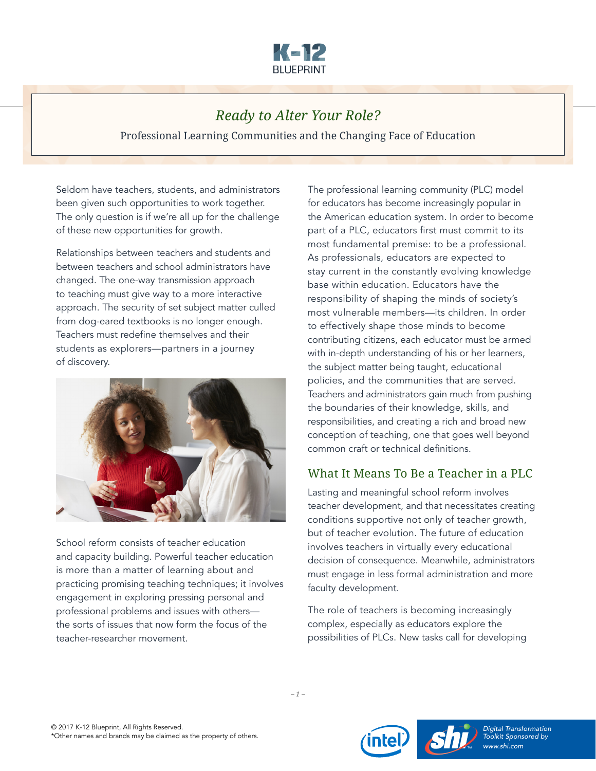

## *Ready to Alter Your Role?*

Professional Learning Communities and the Changing Face of Education

Seldom have teachers, students, and administrators been given such opportunities to work together. The only question is if we're all up for the challenge of these new opportunities for growth.

Relationships between teachers and students and between teachers and school administrators have changed. The one-way transmission approach to teaching must give way to a more interactive approach. The security of set subject matter culled from dog-eared textbooks is no longer enough. Teachers must redefine themselves and their students as explorers—partners in a journey of discovery.



School reform consists of teacher education and capacity building. Powerful teacher education is more than a matter of learning about and practicing promising teaching techniques; it involves engagement in exploring pressing personal and professional problems and issues with others the sorts of issues that now form the focus of the teacher-researcher movement.

The professional learning community (PLC) model for educators has become increasingly popular in the American education system. In order to become part of a PLC, educators first must commit to its most fundamental premise: to be a professional. As professionals, educators are expected to stay current in the constantly evolving knowledge base within education. Educators have the responsibility of shaping the minds of society's most vulnerable members—its children. In order to effectively shape those minds to become contributing citizens, each educator must be armed with in-depth understanding of his or her learners, the subject matter being taught, educational policies, and the communities that are served. Teachers and administrators gain much from pushing the boundaries of their knowledge, skills, and responsibilities, and creating a rich and broad new conception of teaching, one that goes well beyond common craft or technical definitions.

## What It Means To Be a Teacher in a PLC

Lasting and meaningful school reform involves teacher development, and that necessitates creating conditions supportive not only of teacher growth, but of teacher evolution. The future of education involves teachers in virtually every educational decision of consequence. Meanwhile, administrators must engage in less formal administration and more faculty development.

The role of teachers is becoming increasingly complex, especially as educators explore the possibilities of PLCs. New tasks call for developing







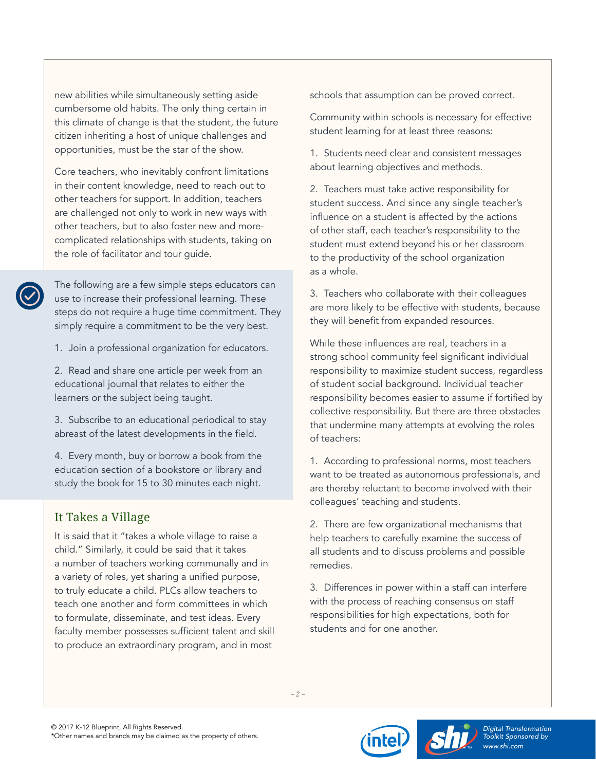new abilities while simultaneously setting aside cumbersome old habits. The only thing certain in this climate of change is that the student, the future citizen inheriting a host of unique challenges and opportunities, must be the star of the show.

Core teachers, who inevitably confront limitations in their content knowledge, need to reach out to other teachers for support. In addition, teachers are challenged not only to work in new ways with other teachers, but to also foster new and morecomplicated relationships with students, taking on the role of facilitator and tour guide.

The following are a few simple steps educators can use to increase their professional learning. These steps do not require a huge time commitment. They simply require a commitment to be the very best.

1. Join a professional organization for educators.

2. Read and share one article per week from an educational journal that relates to either the learners or the subject being taught.

3. Subscribe to an educational periodical to stay abreast of the latest developments in the field.

4. Every month, buy or borrow a book from the education section of a bookstore or library and study the book for 15 to 30 minutes each night.

## It Takes a Village

It is said that it "takes a whole village to raise a child." Similarly, it could be said that it takes a number of teachers working communally and in a variety of roles, yet sharing a unified purpose, to truly educate a child. PLCs allow teachers to teach one another and form committees in which to formulate, disseminate, and test ideas. Every faculty member possesses sufficient talent and skill to produce an extraordinary program, and in most

schools that assumption can be proved correct.

Community within schools is necessary for effective student learning for at least three reasons:

1. Students need clear and consistent messages about learning objectives and methods.

2. Teachers must take active responsibility for student success. And since any single teacher's influence on a student is affected by the actions of other staff, each teacher's responsibility to the student must extend beyond his or her classroom to the productivity of the school organization as a whole.

3. Teachers who collaborate with their colleagues are more likely to be effective with students, because they will benefit from expanded resources.

While these influences are real, teachers in a strong school community feel significant individual responsibility to maximize student success, regardless of student social background. Individual teacher responsibility becomes easier to assume if fortified by collective responsibility. But there are three obstacles that undermine many attempts at evolving the roles of teachers:

1. According to professional norms, most teachers want to be treated as autonomous professionals, and are thereby reluctant to become involved with their colleagues' teaching and students.

2. There are few organizational mechanisms that help teachers to carefully examine the success of all students and to discuss problems and possible remedies.

3. Differences in power within a staff can interfere with the process of reaching consensus on staff responsibilities for high expectations, both for students and for one another.

*– 2 –*



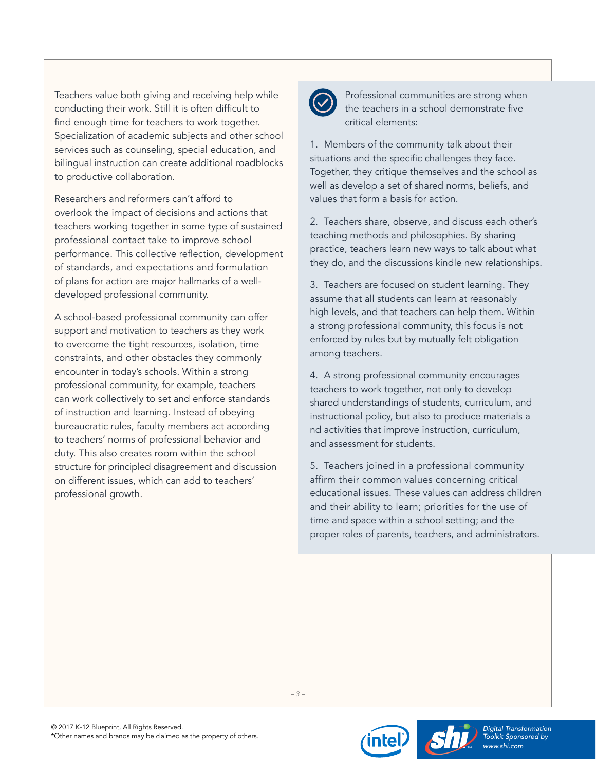Teachers value both giving and receiving help while conducting their work. Still it is often difficult to find enough time for teachers to work together. Specialization of academic subjects and other school services such as counseling, special education, and bilingual instruction can create additional roadblocks to productive collaboration.

Researchers and reformers can't afford to overlook the impact of decisions and actions that teachers working together in some type of sustained professional contact take to improve school performance. This collective reflection, development of standards, and expectations and formulation of plans for action are major hallmarks of a welldeveloped professional community.

A school-based professional community can offer support and motivation to teachers as they work to overcome the tight resources, isolation, time constraints, and other obstacles they commonly encounter in today's schools. Within a strong professional community, for example, teachers can work collectively to set and enforce standards of instruction and learning. Instead of obeying bureaucratic rules, faculty members act according to teachers' norms of professional behavior and duty. This also creates room within the school structure for principled disagreement and discussion on different issues, which can add to teachers' professional growth.



 Professional communities are strong when the teachers in a school demonstrate five critical elements:

1. Members of the community talk about their situations and the specific challenges they face. Together, they critique themselves and the school as well as develop a set of shared norms, beliefs, and values that form a basis for action.

2. Teachers share, observe, and discuss each other's teaching methods and philosophies. By sharing practice, teachers learn new ways to talk about what they do, and the discussions kindle new relationships.

3. Teachers are focused on student learning. They assume that all students can learn at reasonably high levels, and that teachers can help them. Within a strong professional community, this focus is not enforced by rules but by mutually felt obligation among teachers.

4. A strong professional community encourages teachers to work together, not only to develop shared understandings of students, curriculum, and instructional policy, but also to produce materials a nd activities that improve instruction, curriculum, and assessment for students.

5. Teachers joined in a professional community affirm their common values concerning critical educational issues. These values can address children and their ability to learn; priorities for the use of time and space within a school setting; and the proper roles of parents, teachers, and administrators.





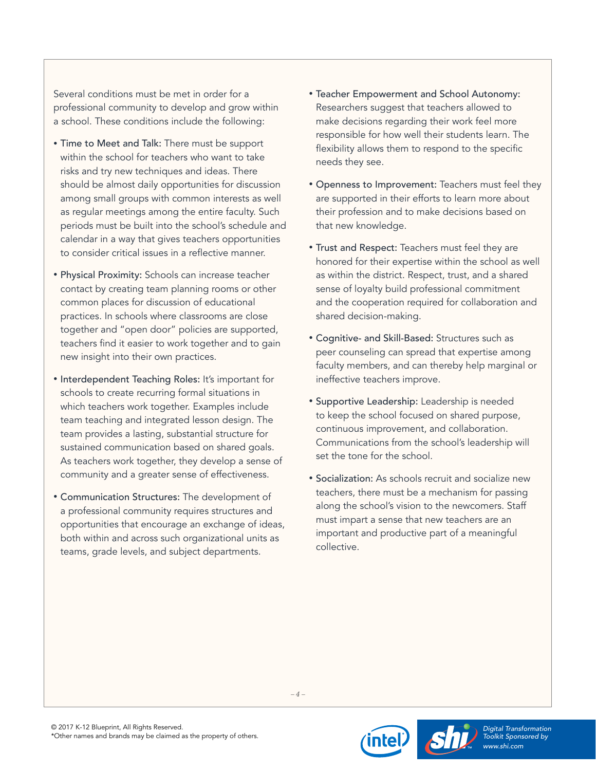Several conditions must be met in order for a professional community to develop and grow within a school. These conditions include the following:

- Time to Meet and Talk: There must be support within the school for teachers who want to take risks and try new techniques and ideas. There should be almost daily opportunities for discussion among small groups with common interests as well as regular meetings among the entire faculty. Such periods must be built into the school's schedule and calendar in a way that gives teachers opportunities to consider critical issues in a reflective manner.
- Physical Proximity: Schools can increase teacher contact by creating team planning rooms or other common places for discussion of educational practices. In schools where classrooms are close together and "open door" policies are supported, teachers find it easier to work together and to gain new insight into their own practices.
- Interdependent Teaching Roles: It's important for schools to create recurring formal situations in which teachers work together. Examples include team teaching and integrated lesson design. The team provides a lasting, substantial structure for sustained communication based on shared goals. As teachers work together, they develop a sense of community and a greater sense of effectiveness.
- Communication Structures: The development of a professional community requires structures and opportunities that encourage an exchange of ideas, both within and across such organizational units as teams, grade levels, and subject departments.
- Teacher Empowerment and School Autonomy: Researchers suggest that teachers allowed to make decisions regarding their work feel more responsible for how well their students learn. The flexibility allows them to respond to the specific needs they see.
- Openness to Improvement: Teachers must feel they are supported in their efforts to learn more about their profession and to make decisions based on that new knowledge.
- Trust and Respect: Teachers must feel they are honored for their expertise within the school as well as within the district. Respect, trust, and a shared sense of loyalty build professional commitment and the cooperation required for collaboration and shared decision-making.
- Cognitive- and Skill-Based: Structures such as peer counseling can spread that expertise among faculty members, and can thereby help marginal or ineffective teachers improve.
- Supportive Leadership: Leadership is needed to keep the school focused on shared purpose, continuous improvement, and collaboration. Communications from the school's leadership will set the tone for the school.
- Socialization: As schools recruit and socialize new teachers, there must be a mechanism for passing along the school's vision to the newcomers. Staff must impart a sense that new teachers are an important and productive part of a meaningful collective.